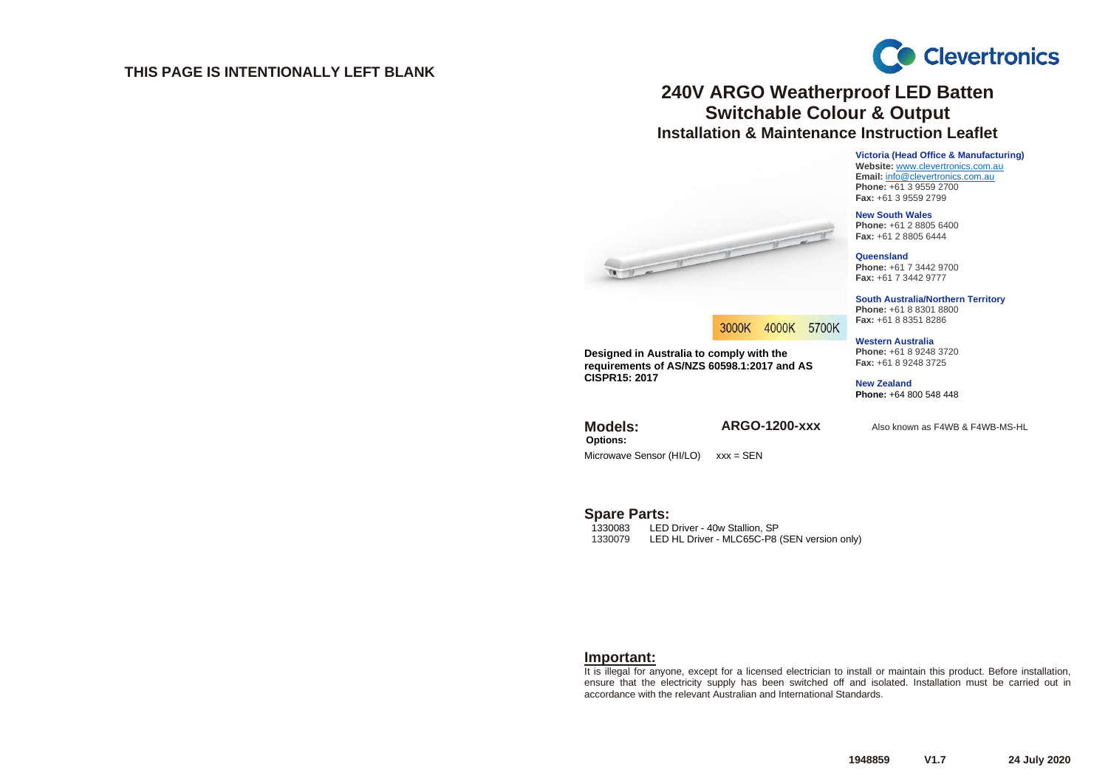#### **THIS PAGE IS INTENTIONALLY LEFT BLANK**



## **240V ARGO Weatherproof LED Batten Switchable Colour & Output Installation & Maintenance Instruction Leaflet**

**Victoria (Head Office & Manufacturing) Website:** [www.clevertronics.com.au](http://www.clevertronics.com.au/) **Email:** info@clevertronics.com.au **Phone:** +61 3 9559 2700 **Fax:** +61 3 9559 2799

**New South Wales Phone:** +61 2 8805 6400 **Fax:** +61 2 8805 6444



**South Australia/Northern Territory Phone:** +61 8 8301 8800 **Fax:** +61 8 8351 8286

#### **Western Australia Phone:** +61 8 9248 3720 **Fax:** +61 8 9248 3725

**New Zealand Phone:** +64 800 548 448

**Models: ARGO-1200-xxx** Also known as F4WB & F4WB-MS-HL





**Designed in Australia to comply with the requirements of AS/NZS 60598.1:2017 and AS CISPR15: 2017**

**Options:** Microwave Sensor (HI/LO) xxx = SEN

# Spare Parts:

1330083 LED Driver - 40w Stallion, SP<br>1330079 LED HL Driver - MLC65C-P8 LED HL Driver - MLC65C-P8 (SEN version only)

#### **Important:**

It is illegal for anyone, except for a licensed electrician to install or maintain this product. Before installation, ensure that the electricity supply has been switched off and isolated. Installation must be carried out in accordance with the relevant Australian and International Standards.